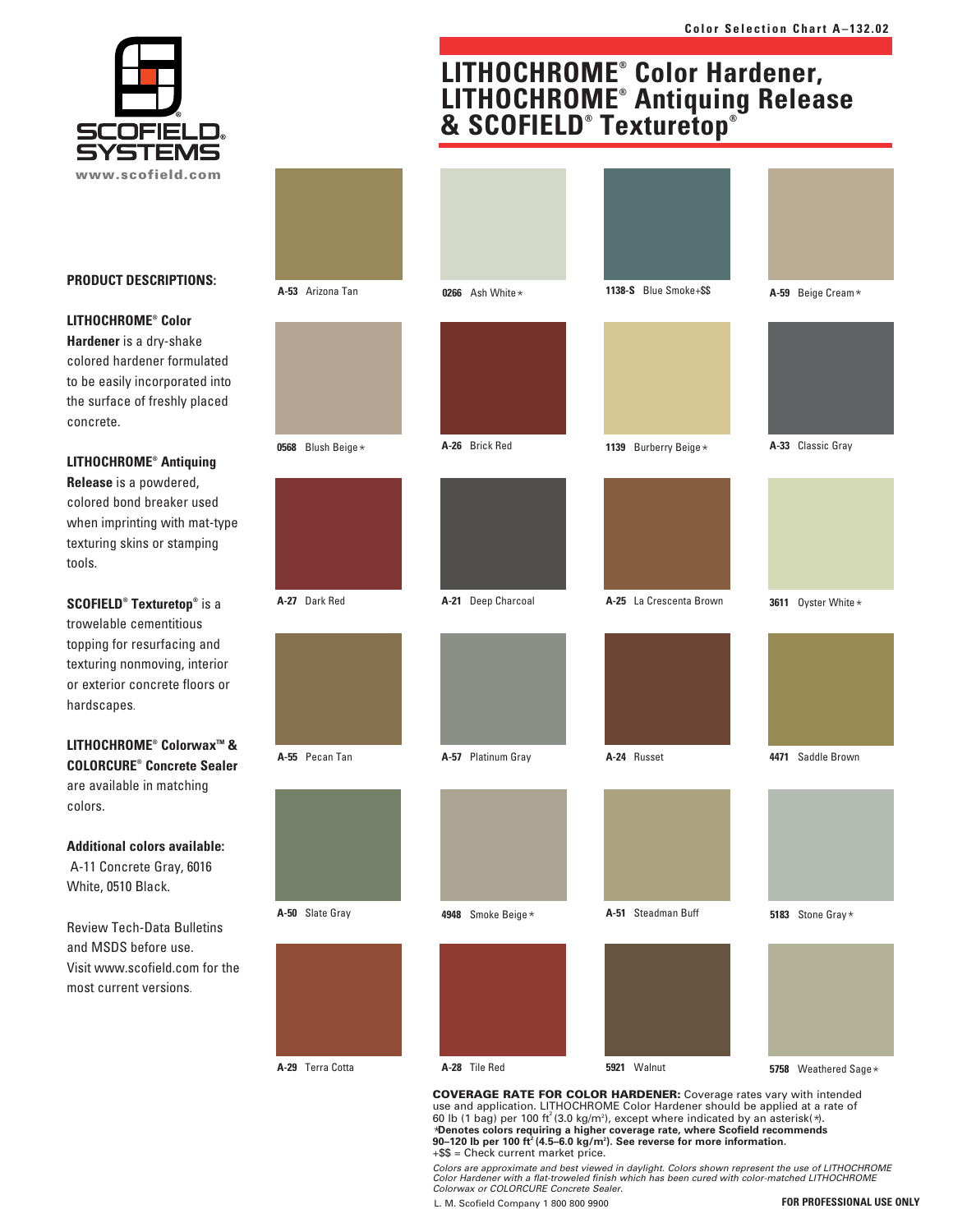



#### **PRODUCT DESCRIPTIONS:**

#### **LITHOCHROME® Color**

**Hardener** is a dry-shake colored hardener formulated to be easily incorporated into the surface of freshly placed concrete.

## **LITHOCHROME® Antiquing Release** is a powdered, colored bond breaker used when imprinting with mat-type texturing skins or stamping

tools.

**SCOFIELD® Texturetop®** is a trowelable cementitious topping for resurfacing and texturing nonmoving, interior or exterior concrete floors or hardscapes.

### **LITHOCHROME® ColorwaxTM & COLORCURE® Concrete Sealer** are available in matching colors.

**Additional colors available:** A-11 Concrete Gray, 6016 White, 0510 Black.

Review Tech-Data Bulletins and MSDS before use. Visit www.scofield.com for the most current versions.

| A-53 Arizona Tan  | 0266 Ash White *   | 1138-S Blue Smoke+\$\$  | A-59 Beige Cream*    |
|-------------------|--------------------|-------------------------|----------------------|
|                   |                    |                         |                      |
|                   |                    |                         |                      |
|                   |                    |                         |                      |
| 0568 Blush Beige* | A-26 Brick Red     | 1139 Burberry Beige*    | A-33 Classic Gray    |
|                   |                    |                         |                      |
|                   |                    |                         |                      |
|                   |                    |                         |                      |
| A-27 Dark Red     | A-21 Deep Charcoal | A-25 La Crescenta Brown | 3611 Oyster White *  |
|                   |                    |                         |                      |
|                   |                    |                         |                      |
|                   |                    |                         |                      |
| A-55 Pecan Tan    | A-57 Platinum Gray | A-24 Russet             | 4471 Saddle Brown    |
|                   |                    |                         |                      |
|                   |                    |                         |                      |
|                   |                    |                         |                      |
| A-50 Slate Gray   | 4948 Smoke Beige*  | A-51 Steadman Buff      | 5183 Stone Gray*     |
|                   |                    |                         |                      |
|                   |                    |                         |                      |
|                   |                    |                         |                      |
| A-29 Terra Cotta  | A-28 Tile Red      | 5921 Walnut             | 5758 Weathered Sage* |

**LITHOCHROME® Color Hardener,**

**LITHOCHROME® Antiquing Release & SCOFIELD® Texturetop®**

**COVERAGE RATE FOR COLOR HARDENER:** Coverage rates vary with intended use and application. LITHOCHROME Color Hardener should be applied at a rate of 60 lb (1 bag) per 100 ft<sup>2</sup> (3.0 kg/m<sup>2</sup>), except where indicated by an asterisk( $\ast$ ). \***Denotes colors requiring a higher coverage rate, where Scofield recommends 90–120 lb per 100 ft<sup>2</sup> (4.5–6.0 kg/m2 ). See reverse for more information.** +\$\$ = Check current market price.

Colors are approximate and best viewed in daylight. Colors shown represent the use of LITHOCHROME Color Hardener with a flat-troweled finish which has been cured with color-matched LITHOCHROME Colorwax or COLORCURE Concrete Sealer.

L. M. Scofield Company 1 800 800 9900